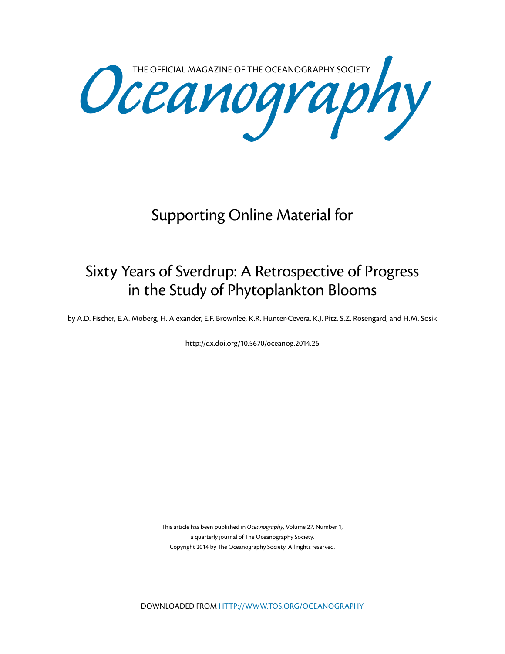Oceanography SOCIETY

## Supporting Online Material for

## Sixty Years of Sverdrup: A Retrospective of Progress in the Study of Phytoplankton Blooms

by A.D. Fischer, E.A. Moberg, H. Alexander, E.F. Brownlee, K.R. Hunter-Cevera, K.J. Pitz, S.Z. Rosengard, and H.M. Sosik

[http://dx.doi.org/10.5670/oceanog.2014.](http://dx.doi.org/10.5670/oceanog.2014.26
)26

This article has been published in *Oceanography*, Volume 27, Number 1, a quarterly journal of The Oceanography Society. Copyright 2014 by The Oceanography Society. All rights reserved.

DOWNLOADED FROM [HTTP://WWW.TOS.ORG/OCEANOGRAPHY](http://www.tos.org/oceanography)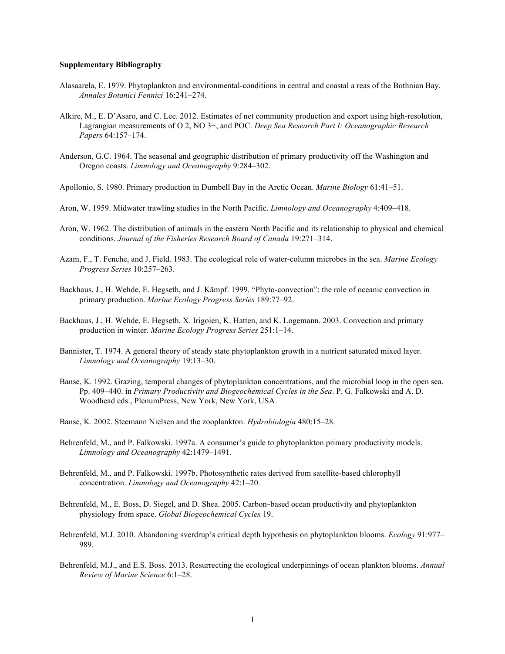## **Supplementary Bibliography**

- Alasaarela, E. 1979. Phytoplankton and environmental-conditions in central and coastal a reas of the Bothnian Bay. *Annales Botanici Fennici* 16:241–274.
- Alkire, M., E. D'Asaro, and C. Lee. 2012. Estimates of net community production and export using high-resolution, Lagrangian measurements of O 2, NO 3−, and POC. *Deep Sea Research Part I: Oceanographic Research Papers* 64:157–174.
- Anderson, G.C. 1964. The seasonal and geographic distribution of primary productivity off the Washington and Oregon coasts. *Limnology and Oceanography* 9:284–302.
- Apollonio, S. 1980. Primary production in Dumbell Bay in the Arctic Ocean. *Marine Biology* 61:41–51.
- Aron, W. 1959. Midwater trawling studies in the North Pacific. *Limnology and Oceanography* 4:409–418.
- Aron, W. 1962. The distribution of animals in the eastern North Pacific and its relationship to physical and chemical conditions. *Journal of the Fisheries Research Board of Canada* 19:271–314.
- Azam, F., T. Fenche, and J. Field. 1983. The ecological role of water-column microbes in the sea. *Marine Ecology Progress Series* 10:257–263.
- Backhaus, J., H. Wehde, E. Hegseth, and J. Kämpf. 1999. "Phyto-convection": the role of oceanic convection in primary production. *Marine Ecology Progress Series* 189:77–92.
- Backhaus, J., H. Wehde, E. Hegseth, X. Irigoien, K. Hatten, and K. Logemann. 2003. Convection and primary production in winter. *Marine Ecology Progress Series* 251:1–14.
- Bannister, T. 1974. A general theory of steady state phytoplankton growth in a nutrient saturated mixed layer. *Limnology and Oceanography* 19:13–30.
- Banse, K. 1992. Grazing, temporal changes of phytoplankton concentrations, and the microbial loop in the open sea. Pp. 409–440. in *Primary Productivity and Biogeochemical Cycles in the Sea*. P. G. Falkowski and A. D. Woodhead eds., PlenumPress, New York, New York, USA.
- Banse, K. 2002. Steemann Nielsen and the zooplankton. *Hydrobiologia* 480:15–28.
- Behrenfeld, M., and P. Falkowski. 1997a. A consumer's guide to phytoplankton primary productivity models. *Limnology and Oceanography* 42:1479–1491.
- Behrenfeld, M., and P. Falkowski. 1997b. Photosynthetic rates derived from satellite-based chlorophyll concentration. *Limnology and Oceanography* 42:1–20.
- Behrenfeld, M., E. Boss, D. Siegel, and D. Shea. 2005. Carbon‐based ocean productivity and phytoplankton physiology from space. *Global Biogeochemical Cycles* 19.
- Behrenfeld, M.J. 2010. Abandoning sverdrup's critical depth hypothesis on phytoplankton blooms. *Ecology* 91:977– 989.
- Behrenfeld, M.J., and E.S. Boss. 2013. Resurrecting the ecological underpinnings of ocean plankton blooms. *Annual Review of Marine Science* 6:1–28.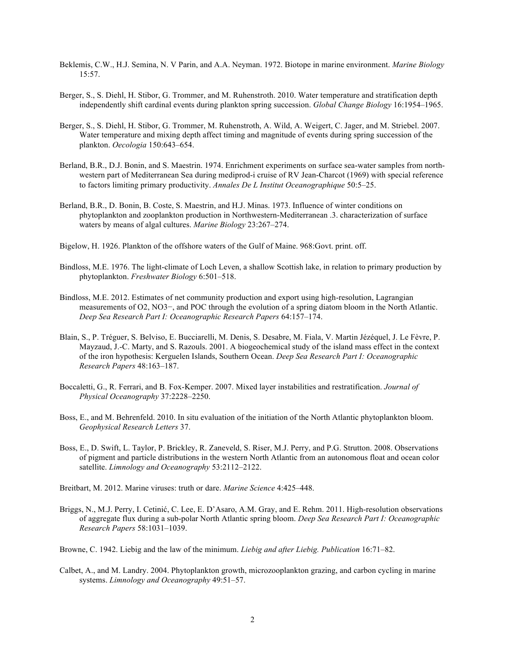- Beklemis, C.W., H.J. Semina, N. V Parin, and A.A. Neyman. 1972. Biotope in marine environment. *Marine Biology* 15:57.
- Berger, S., S. Diehl, H. Stibor, G. Trommer, and M. Ruhenstroth. 2010. Water temperature and stratification depth independently shift cardinal events during plankton spring succession. *Global Change Biology* 16:1954–1965.
- Berger, S., S. Diehl, H. Stibor, G. Trommer, M. Ruhenstroth, A. Wild, A. Weigert, C. Jager, and M. Striebel. 2007. Water temperature and mixing depth affect timing and magnitude of events during spring succession of the plankton. *Oecologia* 150:643–654.
- Berland, B.R., D.J. Bonin, and S. Maestrin. 1974. Enrichment experiments on surface sea-water samples from northwestern part of Mediterranean Sea during mediprod-i cruise of RV Jean-Charcot (1969) with special reference to factors limiting primary productivity. *Annales De L Institut Oceanographique* 50:5–25.
- Berland, B.R., D. Bonin, B. Coste, S. Maestrin, and H.J. Minas. 1973. Influence of winter conditions on phytoplankton and zooplankton production in Northwestern-Mediterranean .3. characterization of surface waters by means of algal cultures. *Marine Biology* 23:267–274.
- Bigelow, H. 1926. Plankton of the offshore waters of the Gulf of Maine. 968:Govt. print. off.
- Bindloss, M.E. 1976. The light-climate of Loch Leven, a shallow Scottish lake, in relation to primary production by phytoplankton. *Freshwater Biology* 6:501–518.
- Bindloss, M.E. 2012. Estimates of net community production and export using high-resolution, Lagrangian measurements of O2, NO3−, and POC through the evolution of a spring diatom bloom in the North Atlantic. *Deep Sea Research Part I: Oceanographic Research Papers* 64:157–174.
- Blain, S., P. Tréguer, S. Belviso, E. Bucciarelli, M. Denis, S. Desabre, M. Fiala, V. Martin Jézéquel, J. Le Fèvre, P. Mayzaud, J.-C. Marty, and S. Razouls. 2001. A biogeochemical study of the island mass effect in the context of the iron hypothesis: Kerguelen Islands, Southern Ocean. *Deep Sea Research Part I: Oceanographic Research Papers* 48:163–187.
- Boccaletti, G., R. Ferrari, and B. Fox-Kemper. 2007. Mixed layer instabilities and restratification. *Journal of Physical Oceanography* 37:2228–2250.
- Boss, E., and M. Behrenfeld. 2010. In situ evaluation of the initiation of the North Atlantic phytoplankton bloom. *Geophysical Research Letters* 37.
- Boss, E., D. Swift, L. Taylor, P. Brickley, R. Zaneveld, S. Riser, M.J. Perry, and P.G. Strutton. 2008. Observations of pigment and particle distributions in the western North Atlantic from an autonomous float and ocean color satellite. *Limnology and Oceanography* 53:2112–2122.
- Breitbart, M. 2012. Marine viruses: truth or dare. *Marine Science* 4:425–448.
- Briggs, N., M.J. Perry, I. Cetinić, C. Lee, E. D'Asaro, A.M. Gray, and E. Rehm. 2011. High-resolution observations of aggregate flux during a sub-polar North Atlantic spring bloom. *Deep Sea Research Part I: Oceanographic Research Papers* 58:1031–1039.

Browne, C. 1942. Liebig and the law of the minimum. *Liebig and after Liebig. Publication* 16:71–82.

Calbet, A., and M. Landry. 2004. Phytoplankton growth, microzooplankton grazing, and carbon cycling in marine systems. *Limnology and Oceanography* 49:51–57.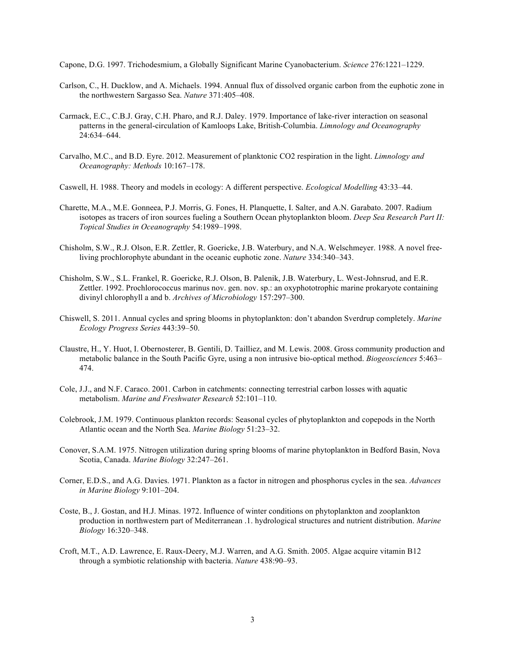Capone, D.G. 1997. Trichodesmium, a Globally Significant Marine Cyanobacterium. *Science* 276:1221–1229.

- Carlson, C., H. Ducklow, and A. Michaels. 1994. Annual flux of dissolved organic carbon from the euphotic zone in the northwestern Sargasso Sea. *Nature* 371:405–408.
- Carmack, E.C., C.B.J. Gray, C.H. Pharo, and R.J. Daley. 1979. Importance of lake-river interaction on seasonal patterns in the general-circulation of Kamloops Lake, British-Columbia. *Limnology and Oceanography* 24:634–644.
- Carvalho, M.C., and B.D. Eyre. 2012. Measurement of planktonic CO2 respiration in the light. *Limnology and Oceanography: Methods* 10:167–178.
- Caswell, H. 1988. Theory and models in ecology: A different perspective. *Ecological Modelling* 43:33–44.
- Charette, M.A., M.E. Gonneea, P.J. Morris, G. Fones, H. Planquette, I. Salter, and A.N. Garabato. 2007. Radium isotopes as tracers of iron sources fueling a Southern Ocean phytoplankton bloom. *Deep Sea Research Part II: Topical Studies in Oceanography* 54:1989–1998.
- Chisholm, S.W., R.J. Olson, E.R. Zettler, R. Goericke, J.B. Waterbury, and N.A. Welschmeyer. 1988. A novel freeliving prochlorophyte abundant in the oceanic euphotic zone. *Nature* 334:340–343.
- Chisholm, S.W., S.L. Frankel, R. Goericke, R.J. Olson, B. Palenik, J.B. Waterbury, L. West-Johnsrud, and E.R. Zettler. 1992. Prochlorococcus marinus nov. gen. nov. sp.: an oxyphototrophic marine prokaryote containing divinyl chlorophyll a and b. *Archives of Microbiology* 157:297–300.
- Chiswell, S. 2011. Annual cycles and spring blooms in phytoplankton: don't abandon Sverdrup completely. *Marine Ecology Progress Series* 443:39–50.
- Claustre, H., Y. Huot, I. Obernosterer, B. Gentili, D. Tailliez, and M. Lewis. 2008. Gross community production and metabolic balance in the South Pacific Gyre, using a non intrusive bio-optical method. *Biogeosciences* 5:463– 474.
- Cole, J.J., and N.F. Caraco. 2001. Carbon in catchments: connecting terrestrial carbon losses with aquatic metabolism. *Marine and Freshwater Research* 52:101–110.
- Colebrook, J.M. 1979. Continuous plankton records: Seasonal cycles of phytoplankton and copepods in the North Atlantic ocean and the North Sea. *Marine Biology* 51:23–32.
- Conover, S.A.M. 1975. Nitrogen utilization during spring blooms of marine phytoplankton in Bedford Basin, Nova Scotia, Canada. *Marine Biology* 32:247–261.
- Corner, E.D.S., and A.G. Davies. 1971. Plankton as a factor in nitrogen and phosphorus cycles in the sea. *Advances in Marine Biology* 9:101–204.
- Coste, B., J. Gostan, and H.J. Minas. 1972. Influence of winter conditions on phytoplankton and zooplankton production in northwestern part of Mediterranean .1. hydrological structures and nutrient distribution. *Marine Biology* 16:320–348.
- Croft, M.T., A.D. Lawrence, E. Raux-Deery, M.J. Warren, and A.G. Smith. 2005. Algae acquire vitamin B12 through a symbiotic relationship with bacteria. *Nature* 438:90–93.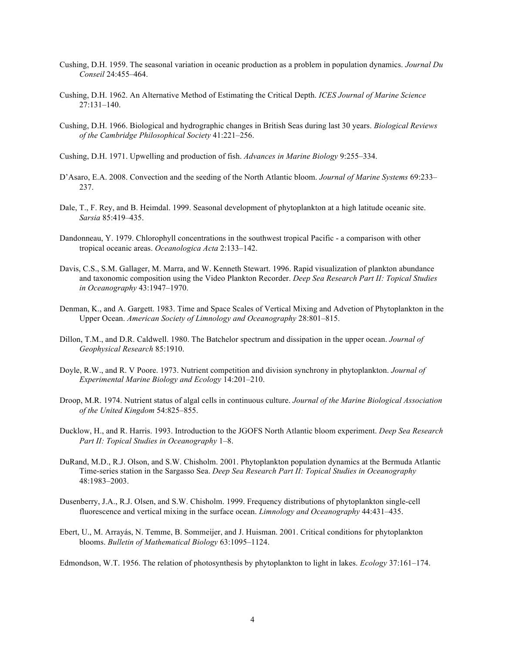- Cushing, D.H. 1959. The seasonal variation in oceanic production as a problem in population dynamics. *Journal Du Conseil* 24:455–464.
- Cushing, D.H. 1962. An Alternative Method of Estimating the Critical Depth. *ICES Journal of Marine Science* 27:131–140.
- Cushing, D.H. 1966. Biological and hydrographic changes in British Seas during last 30 years. *Biological Reviews of the Cambridge Philosophical Society* 41:221–256.
- Cushing, D.H. 1971. Upwelling and production of fish. *Advances in Marine Biology* 9:255–334.
- D'Asaro, E.A. 2008. Convection and the seeding of the North Atlantic bloom. *Journal of Marine Systems* 69:233– 237.
- Dale, T., F. Rey, and B. Heimdal. 1999. Seasonal development of phytoplankton at a high latitude oceanic site. *Sarsia* 85:419–435.
- Dandonneau, Y. 1979. Chlorophyll concentrations in the southwest tropical Pacific a comparison with other tropical oceanic areas. *Oceanologica Acta* 2:133–142.
- Davis, C.S., S.M. Gallager, M. Marra, and W. Kenneth Stewart. 1996. Rapid visualization of plankton abundance and taxonomic composition using the Video Plankton Recorder. *Deep Sea Research Part II: Topical Studies in Oceanography* 43:1947–1970.
- Denman, K., and A. Gargett. 1983. Time and Space Scales of Vertical Mixing and Advetion of Phytoplankton in the Upper Ocean. *American Society of Limnology and Oceanography* 28:801–815.
- Dillon, T.M., and D.R. Caldwell. 1980. The Batchelor spectrum and dissipation in the upper ocean. *Journal of Geophysical Research* 85:1910.
- Doyle, R.W., and R. V Poore. 1973. Nutrient competition and division synchrony in phytoplankton. *Journal of Experimental Marine Biology and Ecology* 14:201–210.
- Droop, M.R. 1974. Nutrient status of algal cells in continuous culture. *Journal of the Marine Biological Association of the United Kingdom* 54:825–855.
- Ducklow, H., and R. Harris. 1993. Introduction to the JGOFS North Atlantic bloom experiment. *Deep Sea Research Part II: Topical Studies in Oceanography* 1–8.
- DuRand, M.D., R.J. Olson, and S.W. Chisholm. 2001. Phytoplankton population dynamics at the Bermuda Atlantic Time-series station in the Sargasso Sea. *Deep Sea Research Part II: Topical Studies in Oceanography* 48:1983–2003.
- Dusenberry, J.A., R.J. Olsen, and S.W. Chisholm. 1999. Frequency distributions of phytoplankton single-cell fluorescence and vertical mixing in the surface ocean. *Limnology and Oceanography* 44:431–435.
- Ebert, U., M. Arrayás, N. Temme, B. Sommeijer, and J. Huisman. 2001. Critical conditions for phytoplankton blooms. *Bulletin of Mathematical Biology* 63:1095–1124.

Edmondson, W.T. 1956. The relation of photosynthesis by phytoplankton to light in lakes. *Ecology* 37:161–174.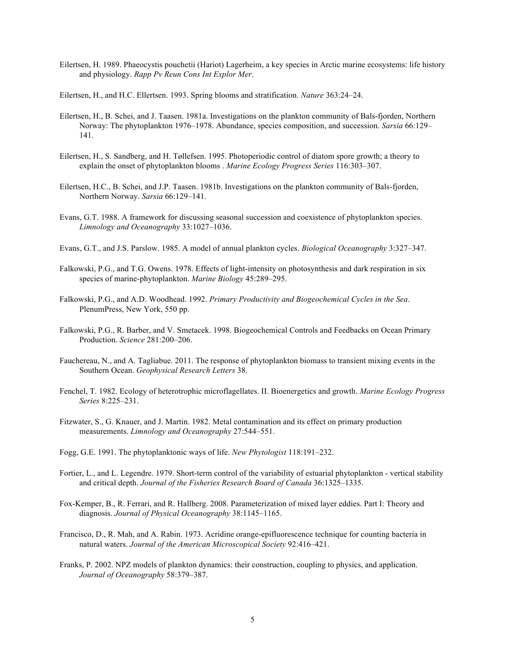Eilertsen, H. 1989. Phaeocystis pouchetii (Hariot) Lagerheim, a key species in Arctic marine ecosystems: life history and physiology. *Rapp Pv Reun Cons Int Explor Mer*.

Eilertsen, H., and H.C. Ellertsen. 1993. Spring blooms and stratification. *Nature* 363:24–24.

- Eilertsen, H., B. Schei, and J. Taasen. 1981a. Investigations on the plankton community of Bals-fjorden, Northern Norway: The phytoplankton 1976–1978. Abundance, species composition, and succession. *Sarsia* 66:129– 141.
- Eilertsen, H., S. Sandberg, and H. Tøllefsen. 1995. Photoperiodic control of diatom spore growth; a theory to explain the onset of phytoplankton blooms . *Marine Ecology Progress Series* 116:303–307.
- Eilertsen, H.C., B. Schei, and J.P. Taasen. 1981b. Investigations on the plankton community of Bals-fjorden, Northern Norway. *Sarsia* 66:129–141.
- Evans, G.T. 1988. A framework for discussing seasonal succession and coexistence of phytoplankton species. *Limnology and Oceanography* 33:1027–1036.
- Evans, G.T., and J.S. Parslow. 1985. A model of annual plankton cycles. *Biological Oceanography* 3:327–347.
- Falkowski, P.G., and T.G. Owens. 1978. Effects of light-intensity on photosynthesis and dark respiration in six species of marine-phytoplankton. *Marine Biology* 45:289–295.
- Falkowski, P.G., and A.D. Woodhead. 1992. *Primary Productivity and Biogeochemical Cycles in the Sea*. PlenumPress, New York, 550 pp.
- Falkowski, P.G., R. Barber, and V. Smetacek. 1998. Biogeochemical Controls and Feedbacks on Ocean Primary Production. *Science* 281:200–206.
- Fauchereau, N., and A. Tagliabue. 2011. The response of phytoplankton biomass to transient mixing events in the Southern Ocean. *Geophysical Research Letters* 38.
- Fenchel, T. 1982. Ecology of heterotrophic microflagellates. II. Bioenergetics and growth. *Marine Ecology Progress Series* 8:225–231.
- Fitzwater, S., G. Knauer, and J. Martin. 1982. Metal contamination and its effect on primary production measurements. *Limnology and Oceanography* 27:544–551.
- Fogg, G.E. 1991. The phytoplanktonic ways of life. *New Phytologist* 118:191–232.
- Fortier, L., and L. Legendre. 1979. Short-term control of the variability of estuarial phytoplankton vertical stability and critical depth. *Journal of the Fisheries Research Board of Canada* 36:1325–1335.
- Fox-Kemper, B., R. Ferrari, and R. Hallberg. 2008. Parameterization of mixed layer eddies. Part I: Theory and diagnosis. *Journal of Physical Oceanography* 38:1145–1165.
- Francisco, D., R. Mah, and A. Rabin. 1973. Acridine orange-epifluorescence technique for counting bacteria in natural waters. *Journal of the American Microscopical Society* 92:416–421.
- Franks, P. 2002. NPZ models of plankton dynamics: their construction, coupling to physics, and application. *Journal of Oceanography* 58:379–387.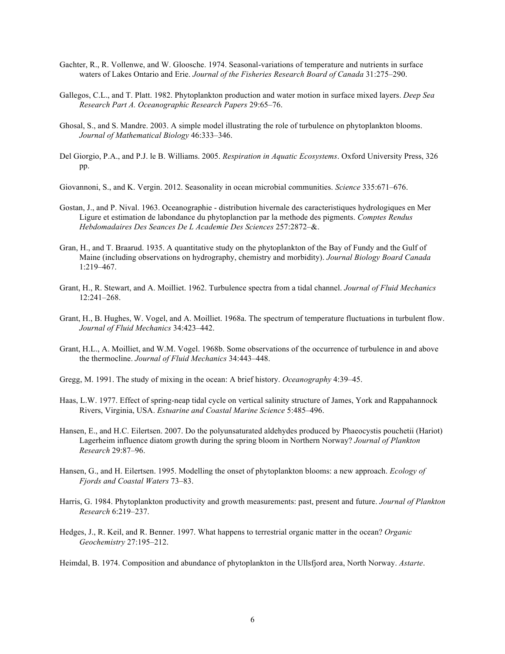- Gachter, R., R. Vollenwe, and W. Gloosche. 1974. Seasonal-variations of temperature and nutrients in surface waters of Lakes Ontario and Erie. *Journal of the Fisheries Research Board of Canada* 31:275–290.
- Gallegos, C.L., and T. Platt. 1982. Phytoplankton production and water motion in surface mixed layers. *Deep Sea Research Part A. Oceanographic Research Papers* 29:65–76.
- Ghosal, S., and S. Mandre. 2003. A simple model illustrating the role of turbulence on phytoplankton blooms. *Journal of Mathematical Biology* 46:333–346.
- Del Giorgio, P.A., and P.J. le B. Williams. 2005. *Respiration in Aquatic Ecosystems*. Oxford University Press, 326 pp.
- Giovannoni, S., and K. Vergin. 2012. Seasonality in ocean microbial communities. *Science* 335:671–676.
- Gostan, J., and P. Nival. 1963. Oceanographie distribution hivernale des caracteristiques hydrologiques en Mer Ligure et estimation de labondance du phytoplanction par la methode des pigments. *Comptes Rendus Hebdomadaires Des Seances De L Academie Des Sciences* 257:2872–&.
- Gran, H., and T. Braarud. 1935. A quantitative study on the phytoplankton of the Bay of Fundy and the Gulf of Maine (including observations on hydrography, chemistry and morbidity). *Journal Biology Board Canada* 1:219–467.
- Grant, H., R. Stewart, and A. Moilliet. 1962. Turbulence spectra from a tidal channel. *Journal of Fluid Mechanics* 12:241–268.
- Grant, H., B. Hughes, W. Vogel, and A. Moilliet. 1968a. The spectrum of temperature fluctuations in turbulent flow. *Journal of Fluid Mechanics* 34:423–442.
- Grant, H.L., A. Moilliet, and W.M. Vogel. 1968b. Some observations of the occurrence of turbulence in and above the thermocline. *Journal of Fluid Mechanics* 34:443–448.
- Gregg, M. 1991. The study of mixing in the ocean: A brief history. *Oceanography* 4:39–45.
- Haas, L.W. 1977. Effect of spring-neap tidal cycle on vertical salinity structure of James, York and Rappahannock Rivers, Virginia, USA. *Estuarine and Coastal Marine Science* 5:485–496.
- Hansen, E., and H.C. Eilertsen. 2007. Do the polyunsaturated aldehydes produced by Phaeocystis pouchetii (Hariot) Lagerheim influence diatom growth during the spring bloom in Northern Norway? *Journal of Plankton Research* 29:87–96.
- Hansen, G., and H. Eilertsen. 1995. Modelling the onset of phytoplankton blooms: a new approach. *Ecology of Fjords and Coastal Waters* 73–83.
- Harris, G. 1984. Phytoplankton productivity and growth measurements: past, present and future. *Journal of Plankton Research* 6:219–237.
- Hedges, J., R. Keil, and R. Benner. 1997. What happens to terrestrial organic matter in the ocean? *Organic Geochemistry* 27:195–212.
- Heimdal, B. 1974. Composition and abundance of phytoplankton in the Ullsfjord area, North Norway. *Astarte*.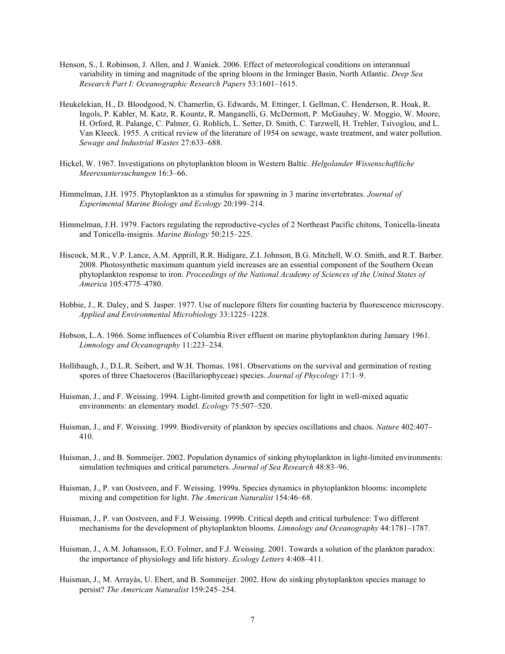- Henson, S., I. Robinson, J. Allen, and J. Waniek. 2006. Effect of meteorological conditions on interannual variability in timing and magnitude of the spring bloom in the Irminger Basin, North Atlantic. *Deep Sea Research Part I: Oceanographic Research Papers* 53:1601–1615.
- Heukelekian, H., D. Bloodgood, N. Chamerlin, G. Edwards, M. Ettinger, I. Gellman, C. Henderson, R. Hoak, R. Ingols, P. Kabler, M. Katz, R. Kountz, R. Manganelli, G. McDermott, P. McGauhey, W. Moggio, W. Moore, H. Orford, R. Palange, C. Palmer, G. Rohlich, L. Setter, D. Smith, C. Tarzwell, H. Trebler, Tsivoglou, and L. Van Kleeck. 1955. A critical review of the literature of 1954 on sewage, waste treatment, and water pollution. *Sewage and Industrial Wastes* 27:633–688.
- Hickel, W. 1967. Investigations on phytoplankton bloom in Western Baltic. *Helgolander Wissenschaftliche Meeresuntersuchungen* 16:3–66.
- Himmelman, J.H. 1975. Phytoplankton as a stimulus for spawning in 3 marine invertebrates. *Journal of Experimental Marine Biology and Ecology* 20:199–214.
- Himmelman, J.H. 1979. Factors regulating the reproductive-cycles of 2 Northeast Pacific chitons, Tonicella-lineata and Tonicella-insignis. *Marine Biology* 50:215–225.
- Hiscock, M.R., V.P. Lance, A.M. Apprill, R.R. Bidigare, Z.I. Johnson, B.G. Mitchell, W.O. Smith, and R.T. Barber. 2008. Photosynthetic maximum quantum yield increases are an essential component of the Southern Ocean phytoplankton response to iron. *Proceedings of the National Academy of Sciences of the United States of America* 105:4775–4780.
- Hobbie, J., R. Daley, and S. Jasper. 1977. Use of nuclepore filters for counting bacteria by fluorescence microscopy. *Applied and Environmental Microbiology* 33:1225–1228.
- Hobson, L.A. 1966. Some influences of Columbia River effluent on marine phytoplankton during January 1961. *Limnology and Oceanography* 11:223–234.
- Hollibaugh, J., D.L.R. Seibert, and W.H. Thomas. 1981. Observations on the survival and germination of resting spores of three Chaetoceros (Bacillariophyceae) species. *Journal of Phycology* 17:1–9.
- Huisman, J., and F. Weissing. 1994. Light-limited growth and competition for light in well-mixed aquatic environments: an elementary model. *Ecology* 75:507–520.
- Huisman, J., and F. Weissing. 1999. Biodiversity of plankton by species oscillations and chaos. *Nature* 402:407– 410.
- Huisman, J., and B. Sommeijer. 2002. Population dynamics of sinking phytoplankton in light-limited environments: simulation techniques and critical parameters. *Journal of Sea Research* 48:83–96.
- Huisman, J., P. van Oostveen, and F. Weissing. 1999a. Species dynamics in phytoplankton blooms: incomplete mixing and competition for light. *The American Naturalist* 154:46–68.
- Huisman, J., P. van Oostveen, and F.J. Weissing. 1999b. Critical depth and critical turbulence: Two different mechanisms for the development of phytoplankton blooms. *Limnology and Oceanography* 44:1781–1787.
- Huisman, J., A.M. Johansson, E.O. Folmer, and F.J. Weissing. 2001. Towards a solution of the plankton paradox: the importance of physiology and life history. *Ecology Letters* 4:408–411.
- Huisman, J., M. Arrayás, U. Ebert, and B. Sommeijer. 2002. How do sinking phytoplankton species manage to persist? *The American Naturalist* 159:245–254.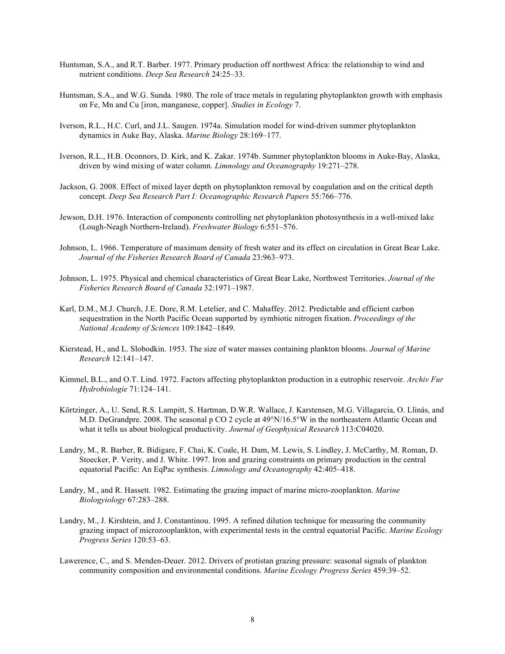- Huntsman, S.A., and R.T. Barber. 1977. Primary production off northwest Africa: the relationship to wind and nutrient conditions. *Deep Sea Research* 24:25–33.
- Huntsman, S.A., and W.G. Sunda. 1980. The role of trace metals in regulating phytoplankton growth with emphasis on Fe, Mn and Cu [iron, manganese, copper]. *Studies in Ecology* 7.
- Iverson, R.L., H.C. Curl, and J.L. Saugen. 1974a. Simulation model for wind-driven summer phytoplankton dynamics in Auke Bay, Alaska. *Marine Biology* 28:169–177.
- Iverson, R.L., H.B. Oconnors, D. Kirk, and K. Zakar. 1974b. Summer phytoplankton blooms in Auke-Bay, Alaska, driven by wind mixing of water column. *Limnology and Oceanography* 19:271–278.
- Jackson, G. 2008. Effect of mixed layer depth on phytoplankton removal by coagulation and on the critical depth concept. *Deep Sea Research Part I: Oceanographic Research Papers* 55:766–776.
- Jewson, D.H. 1976. Interaction of components controlling net phytoplankton photosynthesis in a well-mixed lake (Lough-Neagh Northern-Ireland). *Freshwater Biology* 6:551–576.
- Johnson, L. 1966. Temperature of maximum density of fresh water and its effect on circulation in Great Bear Lake. *Journal of the Fisheries Research Board of Canada* 23:963–973.
- Johnson, L. 1975. Physical and chemical characteristics of Great Bear Lake, Northwest Territories. *Journal of the Fisheries Research Board of Canada* 32:1971–1987.
- Karl, D.M., M.J. Church, J.E. Dore, R.M. Letelier, and C. Mahaffey. 2012. Predictable and efficient carbon sequestration in the North Pacific Ocean supported by symbiotic nitrogen fixation. *Proceedings of the National Academy of Sciences* 109:1842–1849.
- Kierstead, H., and L. Slobodkin. 1953. The size of water masses containing plankton blooms. *Journal of Marine Research* 12:141–147.
- Kimmel, B.L., and O.T. Lind. 1972. Factors affecting phytoplankton production in a eutrophic reservoir. *Archiv Fur Hydrobiologie* 71:124–141.
- Körtzinger, A., U. Send, R.S. Lampitt, S. Hartman, D.W.R. Wallace, J. Karstensen, M.G. Villagarcia, O. Llinás, and M.D. DeGrandpre. 2008. The seasonal p CO 2 cycle at 49°N/16.5°W in the northeastern Atlantic Ocean and what it tells us about biological productivity. *Journal of Geophysical Research* 113:C04020.
- Landry, M., R. Barber, R. Bidigare, F. Chai, K. Coale, H. Dam, M. Lewis, S. Lindley, J. McCarthy, M. Roman, D. Stoecker, P. Verity, and J. White. 1997. Iron and grazing constraints on primary production in the central equatorial Pacific: An EqPac synthesis. *Limnology and Oceanography* 42:405–418.
- Landry, M., and R. Hassett. 1982. Estimating the grazing impact of marine micro-zooplankton. *Marine Biologyiology* 67:283–288.
- Landry, M., J. Kirshtein, and J. Constantinou. 1995. A refined dilution technique for measuring the community grazing impact of microzooplankton, with experimental tests in the central equatorial Pacific. *Marine Ecology Progress Series* 120:53–63.
- Lawerence, C., and S. Menden-Deuer. 2012. Drivers of protistan grazing pressure: seasonal signals of plankton community composition and environmental conditions. *Marine Ecology Progress Series* 459:39–52.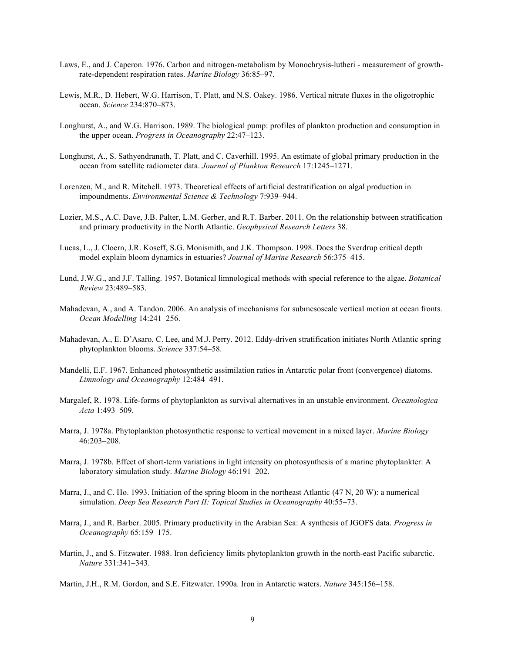- Laws, E., and J. Caperon. 1976. Carbon and nitrogen-metabolism by Monochrysis-lutheri measurement of growthrate-dependent respiration rates. *Marine Biology* 36:85–97.
- Lewis, M.R., D. Hebert, W.G. Harrison, T. Platt, and N.S. Oakey. 1986. Vertical nitrate fluxes in the oligotrophic ocean. *Science* 234:870–873.
- Longhurst, A., and W.G. Harrison. 1989. The biological pump: profiles of plankton production and consumption in the upper ocean. *Progress in Oceanography* 22:47–123.
- Longhurst, A., S. Sathyendranath, T. Platt, and C. Caverhill. 1995. An estimate of global primary production in the ocean from satellite radiometer data. *Journal of Plankton Research* 17:1245–1271.
- Lorenzen, M., and R. Mitchell. 1973. Theoretical effects of artificial destratification on algal production in impoundments. *Environmental Science & Technology* 7:939–944.
- Lozier, M.S., A.C. Dave, J.B. Palter, L.M. Gerber, and R.T. Barber. 2011. On the relationship between stratification and primary productivity in the North Atlantic. *Geophysical Research Letters* 38.
- Lucas, L., J. Cloern, J.R. Koseff, S.G. Monismith, and J.K. Thompson. 1998. Does the Sverdrup critical depth model explain bloom dynamics in estuaries? *Journal of Marine Research* 56:375–415.
- Lund, J.W.G., and J.F. Talling. 1957. Botanical limnological methods with special reference to the algae. *Botanical Review* 23:489–583.
- Mahadevan, A., and A. Tandon. 2006. An analysis of mechanisms for submesoscale vertical motion at ocean fronts. *Ocean Modelling* 14:241–256.
- Mahadevan, A., E. D'Asaro, C. Lee, and M.J. Perry. 2012. Eddy-driven stratification initiates North Atlantic spring phytoplankton blooms. *Science* 337:54–58.
- Mandelli, E.F. 1967. Enhanced photosynthetic assimilation ratios in Antarctic polar front (convergence) diatoms. *Limnology and Oceanography* 12:484–491.
- Margalef, R. 1978. Life-forms of phytoplankton as survival alternatives in an unstable environment. *Oceanologica Acta* 1:493–509.
- Marra, J. 1978a. Phytoplankton photosynthetic response to vertical movement in a mixed layer. *Marine Biology* 46:203–208.
- Marra, J. 1978b. Effect of short-term variations in light intensity on photosynthesis of a marine phytoplankter: A laboratory simulation study. *Marine Biology* 46:191–202.
- Marra, J., and C. Ho. 1993. Initiation of the spring bloom in the northeast Atlantic (47 N, 20 W): a numerical simulation. *Deep Sea Research Part II: Topical Studies in Oceanography* 40:55–73.
- Marra, J., and R. Barber. 2005. Primary productivity in the Arabian Sea: A synthesis of JGOFS data. *Progress in Oceanography* 65:159–175.
- Martin, J., and S. Fitzwater. 1988. Iron deficiency limits phytoplankton growth in the north-east Pacific subarctic. *Nature* 331:341–343.
- Martin, J.H., R.M. Gordon, and S.E. Fitzwater. 1990a. Iron in Antarctic waters. *Nature* 345:156–158.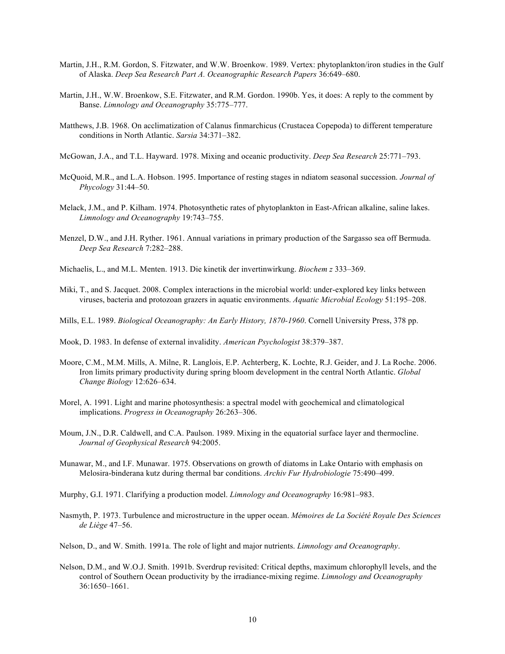- Martin, J.H., R.M. Gordon, S. Fitzwater, and W.W. Broenkow. 1989. Vertex: phytoplankton/iron studies in the Gulf of Alaska. *Deep Sea Research Part A. Oceanographic Research Papers* 36:649–680.
- Martin, J.H., W.W. Broenkow, S.E. Fitzwater, and R.M. Gordon. 1990b. Yes, it does: A reply to the comment by Banse. *Limnology and Oceanography* 35:775–777.
- Matthews, J.B. 1968. On acclimatization of Calanus finmarchicus (Crustacea Copepoda) to different temperature conditions in North Atlantic. *Sarsia* 34:371–382.
- McGowan, J.A., and T.L. Hayward. 1978. Mixing and oceanic productivity. *Deep Sea Research* 25:771–793.
- McQuoid, M.R., and L.A. Hobson. 1995. Importance of resting stages in ndiatom seasonal succession. *Journal of Phycology* 31:44–50.
- Melack, J.M., and P. Kilham. 1974. Photosynthetic rates of phytoplankton in East-African alkaline, saline lakes. *Limnology and Oceanography* 19:743–755.
- Menzel, D.W., and J.H. Ryther. 1961. Annual variations in primary production of the Sargasso sea off Bermuda. *Deep Sea Research* 7:282–288.
- Michaelis, L., and M.L. Menten. 1913. Die kinetik der invertinwirkung. *Biochem z* 333–369.
- Miki, T., and S. Jacquet. 2008. Complex interactions in the microbial world: under-explored key links between viruses, bacteria and protozoan grazers in aquatic environments. *Aquatic Microbial Ecology* 51:195–208.
- Mills, E.L. 1989. *Biological Oceanography: An Early History, 1870-1960*. Cornell University Press, 378 pp.
- Mook, D. 1983. In defense of external invalidity. *American Psychologist* 38:379–387.
- Moore, C.M., M.M. Mills, A. Milne, R. Langlois, E.P. Achterberg, K. Lochte, R.J. Geider, and J. La Roche. 2006. Iron limits primary productivity during spring bloom development in the central North Atlantic. *Global Change Biology* 12:626–634.
- Morel, A. 1991. Light and marine photosynthesis: a spectral model with geochemical and climatological implications. *Progress in Oceanography* 26:263–306.
- Moum, J.N., D.R. Caldwell, and C.A. Paulson. 1989. Mixing in the equatorial surface layer and thermocline. *Journal of Geophysical Research* 94:2005.
- Munawar, M., and I.F. Munawar. 1975. Observations on growth of diatoms in Lake Ontario with emphasis on Melosira-binderana kutz during thermal bar conditions. *Archiv Fur Hydrobiologie* 75:490–499.
- Murphy, G.I. 1971. Clarifying a production model. *Limnology and Oceanography* 16:981–983.
- Nasmyth, P. 1973. Turbulence and microstructure in the upper ocean. *Mémoires de La Société Royale Des Sciences de Liège* 47–56.
- Nelson, D., and W. Smith. 1991a. The role of light and major nutrients. *Limnology and Oceanography*.
- Nelson, D.M., and W.O.J. Smith. 1991b. Sverdrup revisited: Critical depths, maximum chlorophyll levels, and the control of Southern Ocean productivity by the irradiance-mixing regime. *Limnology and Oceanography* 36:1650–1661.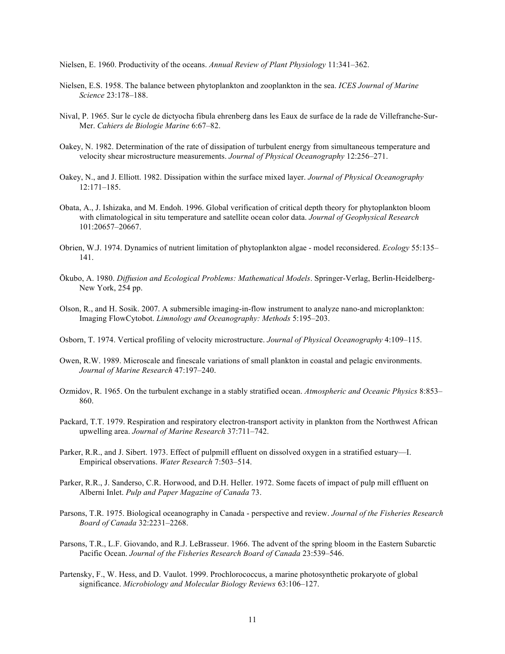Nielsen, E. 1960. Productivity of the oceans. *Annual Review of Plant Physiology* 11:341–362.

- Nielsen, E.S. 1958. The balance between phytoplankton and zooplankton in the sea. *ICES Journal of Marine Science* 23:178–188.
- Nival, P. 1965. Sur le cycle de dictyocha fibula ehrenberg dans les Eaux de surface de la rade de Villefranche-Sur-Mer. *Cahiers de Biologie Marine* 6:67–82.
- Oakey, N. 1982. Determination of the rate of dissipation of turbulent energy from simultaneous temperature and velocity shear microstructure measurements. *Journal of Physical Oceanography* 12:256–271.
- Oakey, N., and J. Elliott. 1982. Dissipation within the surface mixed layer. *Journal of Physical Oceanography* 12:171–185.
- Obata, A., J. Ishizaka, and M. Endoh. 1996. Global verification of critical depth theory for phytoplankton bloom with climatological in situ temperature and satellite ocean color data. *Journal of Geophysical Research* 101:20657–20667.
- Obrien, W.J. 1974. Dynamics of nutrient limitation of phytoplankton algae model reconsidered. *Ecology* 55:135– 141.
- Ōkubo, A. 1980. *Diffusion and Ecological Problems: Mathematical Models*. Springer-Verlag, Berlin-Heidelberg-New York, 254 pp.
- Olson, R., and H. Sosik. 2007. A submersible imaging-in-flow instrument to analyze nano-and microplankton: Imaging FlowCytobot. *Limnology and Oceanography: Methods* 5:195–203.
- Osborn, T. 1974. Vertical profiling of velocity microstructure. *Journal of Physical Oceanography* 4:109–115.
- Owen, R.W. 1989. Microscale and finescale variations of small plankton in coastal and pelagic environments. *Journal of Marine Research* 47:197–240.
- Ozmidov, R. 1965. On the turbulent exchange in a stably stratified ocean. *Atmospheric and Oceanic Physics* 8:853– 860.
- Packard, T.T. 1979. Respiration and respiratory electron-transport activity in plankton from the Northwest African upwelling area. *Journal of Marine Research* 37:711–742.
- Parker, R.R., and J. Sibert. 1973. Effect of pulpmill effluent on dissolved oxygen in a stratified estuary—I. Empirical observations. *Water Research* 7:503–514.
- Parker, R.R., J. Sanderso, C.R. Horwood, and D.H. Heller. 1972. Some facets of impact of pulp mill effluent on Alberni Inlet. *Pulp and Paper Magazine of Canada* 73.
- Parsons, T.R. 1975. Biological oceanography in Canada perspective and review. *Journal of the Fisheries Research Board of Canada* 32:2231–2268.
- Parsons, T.R., L.F. Giovando, and R.J. LeBrasseur. 1966. The advent of the spring bloom in the Eastern Subarctic Pacific Ocean. *Journal of the Fisheries Research Board of Canada* 23:539–546.
- Partensky, F., W. Hess, and D. Vaulot. 1999. Prochlorococcus, a marine photosynthetic prokaryote of global significance. *Microbiology and Molecular Biology Reviews* 63:106–127.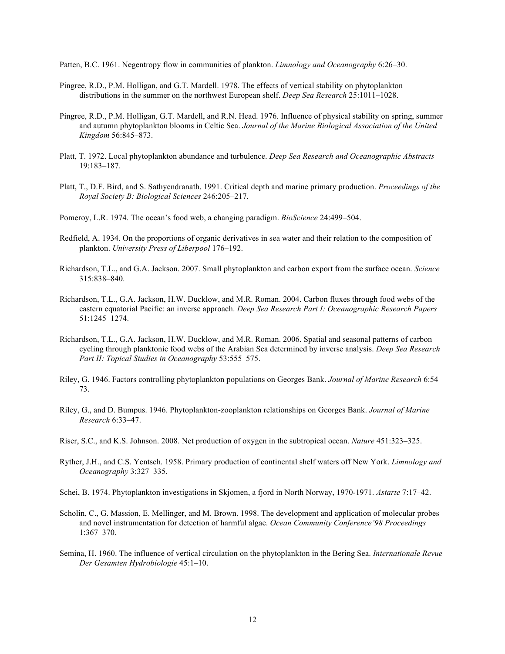Patten, B.C. 1961. Negentropy flow in communities of plankton. *Limnology and Oceanography* 6:26–30.

- Pingree, R.D., P.M. Holligan, and G.T. Mardell. 1978. The effects of vertical stability on phytoplankton distributions in the summer on the northwest European shelf. *Deep Sea Research* 25:1011–1028.
- Pingree, R.D., P.M. Holligan, G.T. Mardell, and R.N. Head. 1976. Influence of physical stability on spring, summer and autumn phytoplankton blooms in Celtic Sea. *Journal of the Marine Biological Association of the United Kingdom* 56:845–873.
- Platt, T. 1972. Local phytoplankton abundance and turbulence. *Deep Sea Research and Oceanographic Abstracts* 19:183–187.
- Platt, T., D.F. Bird, and S. Sathyendranath. 1991. Critical depth and marine primary production. *Proceedings of the Royal Society B: Biological Sciences* 246:205–217.
- Pomeroy, L.R. 1974. The ocean's food web, a changing paradigm. *BioScience* 24:499–504.
- Redfield, A. 1934. On the proportions of organic derivatives in sea water and their relation to the composition of plankton. *University Press of Liberpool* 176–192.
- Richardson, T.L., and G.A. Jackson. 2007. Small phytoplankton and carbon export from the surface ocean. *Science* 315:838–840.
- Richardson, T.L., G.A. Jackson, H.W. Ducklow, and M.R. Roman. 2004. Carbon fluxes through food webs of the eastern equatorial Pacific: an inverse approach. *Deep Sea Research Part I: Oceanographic Research Papers* 51:1245–1274.
- Richardson, T.L., G.A. Jackson, H.W. Ducklow, and M.R. Roman. 2006. Spatial and seasonal patterns of carbon cycling through planktonic food webs of the Arabian Sea determined by inverse analysis. *Deep Sea Research*  Part II: Topical Studies in Oceanography 53:555–575.
- Riley, G. 1946. Factors controlling phytoplankton populations on Georges Bank. *Journal of Marine Research* 6:54– 73.
- Riley, G., and D. Bumpus. 1946. Phytoplankton-zooplankton relationships on Georges Bank. *Journal of Marine Research* 6:33–47.
- Riser, S.C., and K.S. Johnson. 2008. Net production of oxygen in the subtropical ocean. *Nature* 451:323–325.
- Ryther, J.H., and C.S. Yentsch. 1958. Primary production of continental shelf waters off New York. *Limnology and Oceanography* 3:327–335.
- Schei, B. 1974. Phytoplankton investigations in Skjomen, a fjord in North Norway, 1970-1971. *Astarte* 7:17–42.
- Scholin, C., G. Massion, E. Mellinger, and M. Brown. 1998. The development and application of molecular probes and novel instrumentation for detection of harmful algae. *Ocean Community Conference'98 Proceedings* 1:367–370.
- Semina, H. 1960. The influence of vertical circulation on the phytoplankton in the Bering Sea. *Internationale Revue Der Gesamten Hydrobiologie* 45:1–10.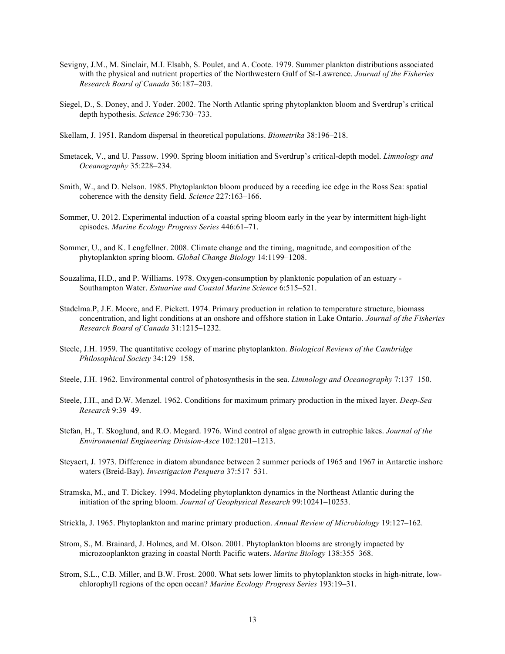- Sevigny, J.M., M. Sinclair, M.I. Elsabh, S. Poulet, and A. Coote. 1979. Summer plankton distributions associated with the physical and nutrient properties of the Northwestern Gulf of St-Lawrence. *Journal of the Fisheries Research Board of Canada* 36:187–203.
- Siegel, D., S. Doney, and J. Yoder. 2002. The North Atlantic spring phytoplankton bloom and Sverdrup's critical depth hypothesis. *Science* 296:730–733.
- Skellam, J. 1951. Random dispersal in theoretical populations. *Biometrika* 38:196–218.
- Smetacek, V., and U. Passow. 1990. Spring bloom initiation and Sverdrup's critical-depth model. *Limnology and Oceanography* 35:228–234.
- Smith, W., and D. Nelson. 1985. Phytoplankton bloom produced by a receding ice edge in the Ross Sea: spatial coherence with the density field. *Science* 227:163–166.
- Sommer, U. 2012. Experimental induction of a coastal spring bloom early in the year by intermittent high-light episodes. *Marine Ecology Progress Series* 446:61–71.
- Sommer, U., and K. Lengfellner. 2008. Climate change and the timing, magnitude, and composition of the phytoplankton spring bloom. *Global Change Biology* 14:1199–1208.
- Souzalima, H.D., and P. Williams. 1978. Oxygen-consumption by planktonic population of an estuary Southampton Water. *Estuarine and Coastal Marine Science* 6:515–521.
- Stadelma.P, J.E. Moore, and E. Pickett. 1974. Primary production in relation to temperature structure, biomass concentration, and light conditions at an onshore and offshore station in Lake Ontario. *Journal of the Fisheries Research Board of Canada* 31:1215–1232.
- Steele, J.H. 1959. The quantitative ecology of marine phytoplankton. *Biological Reviews of the Cambridge Philosophical Society* 34:129–158.
- Steele, J.H. 1962. Environmental control of photosynthesis in the sea. *Limnology and Oceanography* 7:137–150.
- Steele, J.H., and D.W. Menzel. 1962. Conditions for maximum primary production in the mixed layer. *Deep-Sea Research* 9:39–49.
- Stefan, H., T. Skoglund, and R.O. Megard. 1976. Wind control of algae growth in eutrophic lakes. *Journal of the Environmental Engineering Division-Asce* 102:1201–1213.
- Steyaert, J. 1973. Difference in diatom abundance between 2 summer periods of 1965 and 1967 in Antarctic inshore waters (Breid-Bay). *Investigacion Pesquera* 37:517–531.
- Stramska, M., and T. Dickey. 1994. Modeling phytoplankton dynamics in the Northeast Atlantic during the initiation of the spring bloom. *Journal of Geophysical Research* 99:10241–10253.
- Strickla, J. 1965. Phytoplankton and marine primary production. *Annual Review of Microbiology* 19:127–162.
- Strom, S., M. Brainard, J. Holmes, and M. Olson. 2001. Phytoplankton blooms are strongly impacted by microzooplankton grazing in coastal North Pacific waters. *Marine Biology* 138:355–368.
- Strom, S.L., C.B. Miller, and B.W. Frost. 2000. What sets lower limits to phytoplankton stocks in high-nitrate, lowchlorophyll regions of the open ocean? *Marine Ecology Progress Series* 193:19–31.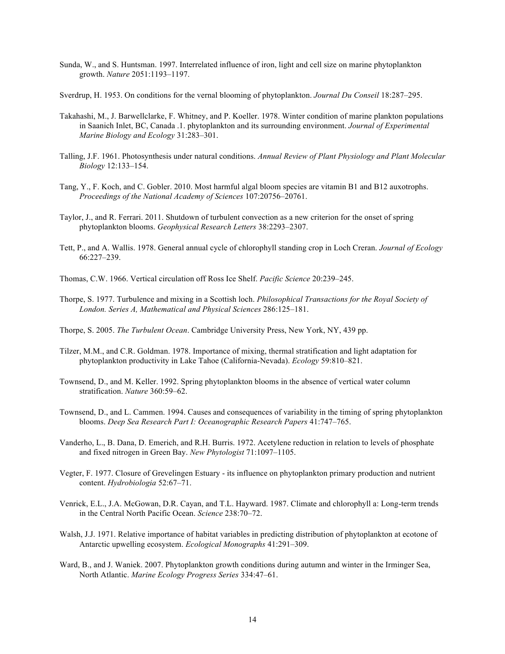- Sunda, W., and S. Huntsman. 1997. Interrelated influence of iron, light and cell size on marine phytoplankton growth. *Nature* 2051:1193–1197.
- Sverdrup, H. 1953. On conditions for the vernal blooming of phytoplankton. *Journal Du Conseil* 18:287–295.
- Takahashi, M., J. Barwellclarke, F. Whitney, and P. Koeller. 1978. Winter condition of marine plankton populations in Saanich Inlet, BC, Canada .1. phytoplankton and its surrounding environment. *Journal of Experimental Marine Biology and Ecology* 31:283–301.
- Talling, J.F. 1961. Photosynthesis under natural conditions. *Annual Review of Plant Physiology and Plant Molecular Biology* 12:133–154.
- Tang, Y., F. Koch, and C. Gobler. 2010. Most harmful algal bloom species are vitamin B1 and B12 auxotrophs. *Proceedings of the National Academy of Sciences* 107:20756–20761.
- Taylor, J., and R. Ferrari. 2011. Shutdown of turbulent convection as a new criterion for the onset of spring phytoplankton blooms. *Geophysical Research Letters* 38:2293–2307.
- Tett, P., and A. Wallis. 1978. General annual cycle of chlorophyll standing crop in Loch Creran. *Journal of Ecology* 66:227–239.
- Thomas, C.W. 1966. Vertical circulation off Ross Ice Shelf. *Pacific Science* 20:239–245.
- Thorpe, S. 1977. Turbulence and mixing in a Scottish loch. *Philosophical Transactions for the Royal Society of London. Series A, Mathematical and Physical Sciences* 286:125–181.
- Thorpe, S. 2005. *The Turbulent Ocean*. Cambridge University Press, New York, NY, 439 pp.
- Tilzer, M.M., and C.R. Goldman. 1978. Importance of mixing, thermal stratification and light adaptation for phytoplankton productivity in Lake Tahoe (California-Nevada). *Ecology* 59:810–821.
- Townsend, D., and M. Keller. 1992. Spring phytoplankton blooms in the absence of vertical water column stratification. *Nature* 360:59–62.
- Townsend, D., and L. Cammen. 1994. Causes and consequences of variability in the timing of spring phytoplankton blooms. *Deep Sea Research Part I: Oceanographic Research Papers* 41:747–765.
- Vanderho, L., B. Dana, D. Emerich, and R.H. Burris. 1972. Acetylene reduction in relation to levels of phosphate and fixed nitrogen in Green Bay. *New Phytologist* 71:1097–1105.
- Vegter, F. 1977. Closure of Grevelingen Estuary its influence on phytoplankton primary production and nutrient content. *Hydrobiologia* 52:67–71.
- Venrick, E.L., J.A. McGowan, D.R. Cayan, and T.L. Hayward. 1987. Climate and chlorophyll a: Long-term trends in the Central North Pacific Ocean. *Science* 238:70–72.
- Walsh, J.J. 1971. Relative importance of habitat variables in predicting distribution of phytoplankton at ecotone of Antarctic upwelling ecosystem. *Ecological Monographs* 41:291–309.
- Ward, B., and J. Waniek. 2007. Phytoplankton growth conditions during autumn and winter in the Irminger Sea, North Atlantic. *Marine Ecology Progress Series* 334:47–61.